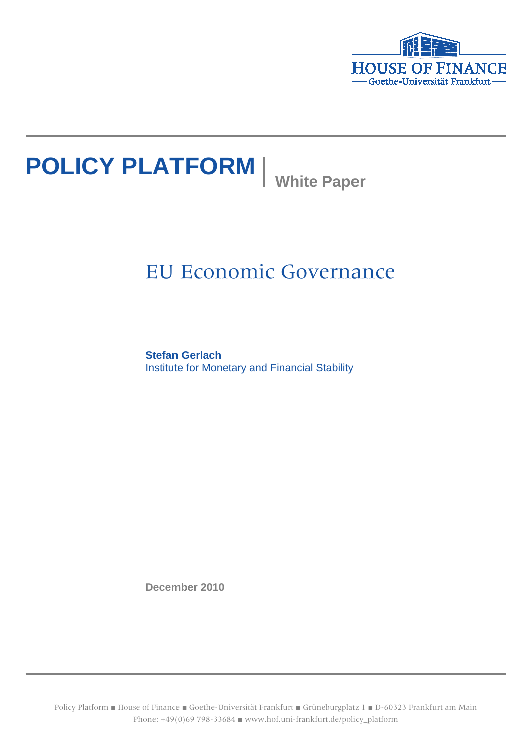

# **POLICY PLATFORM** White Paper

# EU Economic Governance

**Stefan Gerlach** Institute for Monetary and Financial Stability

**December 2010**

Policy Platform ■ House of Finance ■ Goethe-Universität Frankfurt ■ Grüneburgplatz 1 ■ D-60323 Frankfurt am Main Phone: +49(0)69 798-33684 ■ www.hof.uni-frankfurt.de/policy\_platform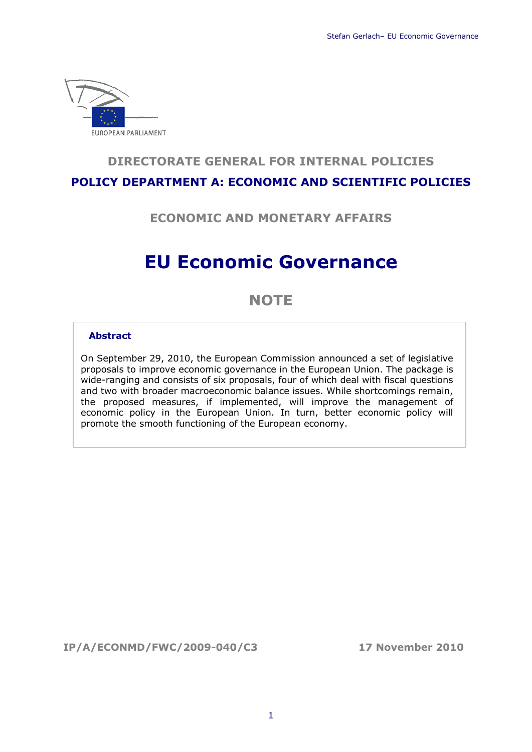

# **DIRECTORATE GENERAL FOR INTERNAL POLICIES POLICY DEPARTMENT A: ECONOMIC AND SCIENTIFIC POLICIES**

**ECONOMIC AND MONETARY AFFAIRS**

# **EU Economic Governance**

# **NOTE**

#### **Abstract**

On September 29, 2010, the European Commission announced a set of legislative proposals to improve economic governance in the European Union. The package is wide-ranging and consists of six proposals, four of which deal with fiscal questions and two with broader macroeconomic balance issues. While shortcomings remain, the proposed measures, if implemented, will improve the management of economic policy in the European Union. In turn, better economic policy will promote the smooth functioning of the European economy.

**IP/A/ECONMD/FWC/2009-040/C3 17 November 2010**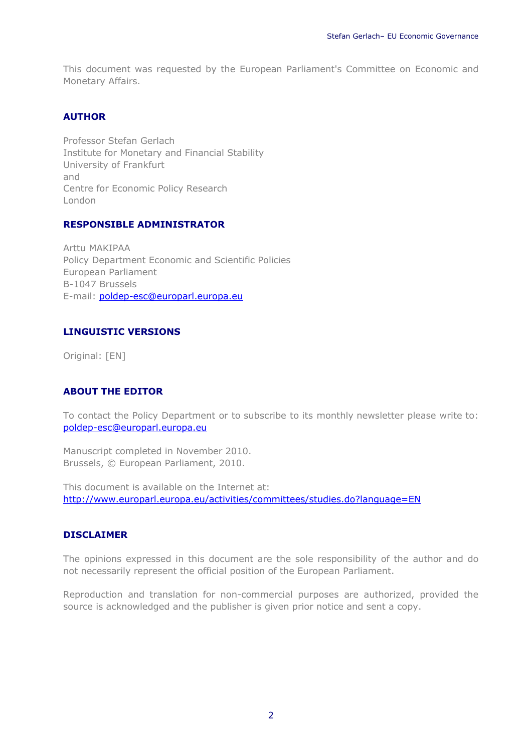This document was requested by the European Parliament's Committee on Economic and Monetary Affairs.

# **AUTHOR**

Professor Stefan Gerlach Institute for Monetary and Financial Stability University of Frankfurt and Centre for Economic Policy Research London

#### **RESPONSIBLE ADMINISTRATOR**

Arttu MAKIPAA Policy Department Economic and Scientific Policies European Parliament B-1047 Brussels E-mail: [poldep-esc@europarl.europa.eu](mailto:poldep-esc@europarl.europa.eu)

#### **LINGUISTIC VERSIONS**

Original: [EN]

#### **ABOUT THE EDITOR**

To contact the Policy Department or to subscribe to its monthly newsletter please write to: [poldep-esc@europarl.europa.eu](mailto:poldep-esc@europarl.europa.eu)

Manuscript completed in November 2010. Brussels, © European Parliament, 2010.

This document is available on the Internet at: <http://www.europarl.europa.eu/activities/committees/studies.do?language=EN>

# **DISCLAIMER**

The opinions expressed in this document are the sole responsibility of the author and do not necessarily represent the official position of the European Parliament.

Reproduction and translation for non-commercial purposes are authorized, provided the source is acknowledged and the publisher is given prior notice and sent a copy.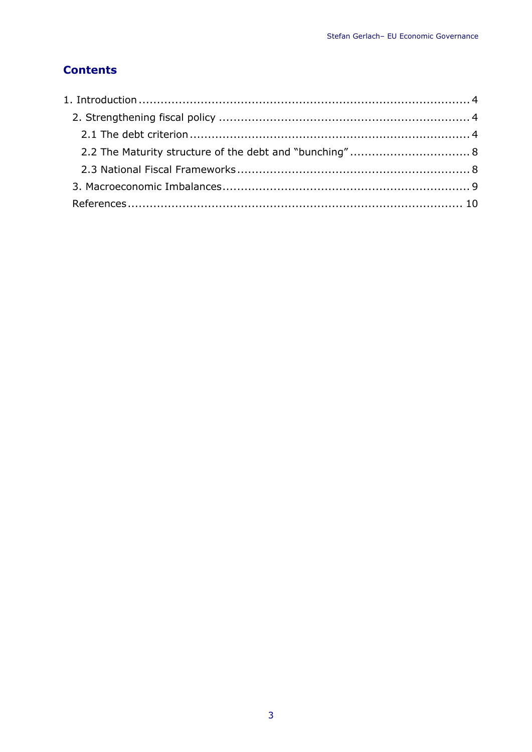# **Contents**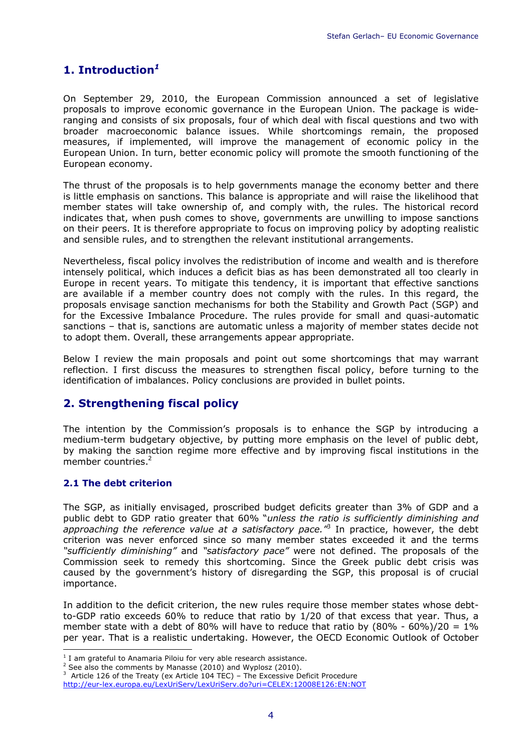# <span id="page-4-0"></span>**1. Introduction***[1](#page-4-3)*

On September 29, 2010, the European Commission announced a set of legislative proposals to improve economic governance in the European Union. The package is wideranging and consists of six proposals, four of which deal with fiscal questions and two with broader macroeconomic balance issues. While shortcomings remain, the proposed measures, if implemented, will improve the management of economic policy in the European Union. In turn, better economic policy will promote the smooth functioning of the European economy.

The thrust of the proposals is to help governments manage the economy better and there is little emphasis on sanctions. This balance is appropriate and will raise the likelihood that member states will take ownership of, and comply with, the rules. The historical record indicates that, when push comes to shove, governments are unwilling to impose sanctions on their peers. It is therefore appropriate to focus on improving policy by adopting realistic and sensible rules, and to strengthen the relevant institutional arrangements.

Nevertheless, fiscal policy involves the redistribution of income and wealth and is therefore intensely political, which induces a deficit bias as has been demonstrated all too clearly in Europe in recent years. To mitigate this tendency, it is important that effective sanctions are available if a member country does not comply with the rules. In this regard, the proposals envisage sanction mechanisms for both the Stability and Growth Pact (SGP) and for the Excessive Imbalance Procedure. The rules provide for small and quasi-automatic sanctions – that is, sanctions are automatic unless a majority of member states decide not to adopt them. Overall, these arrangements appear appropriate.

Below I review the main proposals and point out some shortcomings that may warrant reflection. I first discuss the measures to strengthen fiscal policy, before turning to the identification of imbalances. Policy conclusions are provided in bullet points.

# <span id="page-4-1"></span>**2. Strengthening fiscal policy**

The intention by the Commission's proposals is to enhance the SGP by introducing a medium-term budgetary objective, by putting more emphasis on the level of public debt, by making the sanction regime more effective and by improving fiscal institutions in the member countries.<sup>[2](#page-4-4)</sup>

# <span id="page-4-2"></span>**2.1 The debt criterion**

The SGP, as initially envisaged, proscribed budget deficits greater than 3% of GDP and a public debt to GDP ratio greater that 60% "*unless the ratio is sufficiently diminishing and approaching the reference value at a satisfactory pace."*[3](#page-4-5) In practice, however, the debt criterion was never enforced since so many member states exceeded it and the terms *"sufficiently diminishing"* and *"satisfactory pace"* were not defined. The proposals of the Commission seek to remedy this shortcoming. Since the Greek public debt crisis was caused by the government's history of disregarding the SGP, this proposal is of crucial importance.

In addition to the deficit criterion, the new rules require those member states whose debtto-GDP ratio exceeds 60% to reduce that ratio by 1/20 of that excess that year. Thus, a member state with a debt of 80% will have to reduce that ratio by  $(80\% - 60\%)/20 = 1\%$ per year. That is a realistic undertaking. However, the OECD Economic Outlook of October

<span id="page-4-5"></span> $3$  Article 126 of the Treaty (ex Article 104 TEC) – The Excessive Deficit Procedure

<span id="page-4-3"></span> 1 I am grateful to Anamaria Piloiu for very able research assistance.

<span id="page-4-4"></span> $2$  See also the comments by Manasse (2010) and Wyplosz (2010).

http://eur-lex.europa.eu/LexUriServ/LexUriServ.do?uri=CELEX:12008E126:EN:NOT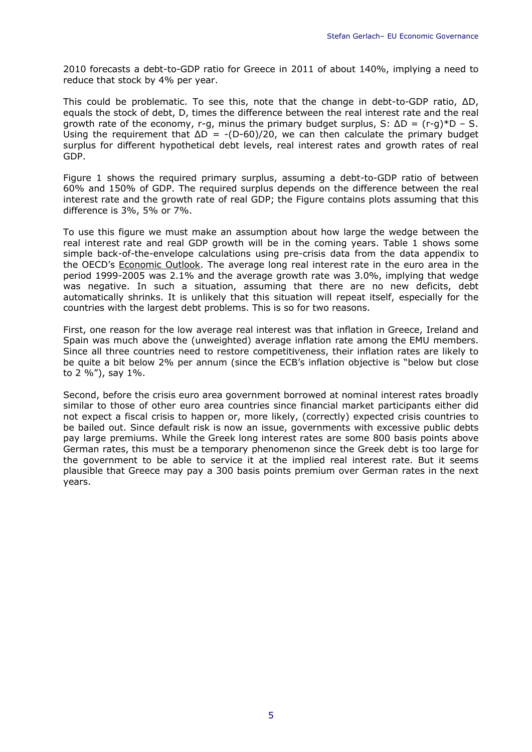2010 forecasts a debt-to-GDP ratio for Greece in 2011 of about 140%, implying a need to reduce that stock by 4% per year.

This could be problematic. To see this, note that the change in debt-to-GDP ratio, ΔD, equals the stock of debt, D, times the difference between the real interest rate and the real growth rate of the economy, r-g, minus the primary budget surplus, S:  $\Delta D = (r-a)*D - S$ . Using the requirement that  $\Delta D = -(D-60)/20$ , we can then calculate the primary budget surplus for different hypothetical debt levels, real interest rates and growth rates of real GDP.

Figure 1 shows the required primary surplus, assuming a debt-to-GDP ratio of between 60% and 150% of GDP. The required surplus depends on the difference between the real interest rate and the growth rate of real GDP; the Figure contains plots assuming that this difference is 3%, 5% or 7%.

To use this figure we must make an assumption about how large the wedge between the real interest rate and real GDP growth will be in the coming years. Table 1 shows some simple back-of-the-envelope calculations using pre-crisis data from the data appendix to the OECD's Economic Outlook. The average long real interest rate in the euro area in the period 1999-2005 was 2.1% and the average growth rate was 3.0%, implying that wedge was negative. In such a situation, assuming that there are no new deficits, debt automatically shrinks. It is unlikely that this situation will repeat itself, especially for the countries with the largest debt problems. This is so for two reasons.

First, one reason for the low average real interest was that inflation in Greece, Ireland and Spain was much above the (unweighted) average inflation rate among the EMU members. Since all three countries need to restore competitiveness, their inflation rates are likely to be quite a bit below 2% per annum (since the ECB's inflation objective is "below but close to 2  $\frac{1}{6}$ , say 1%.

Second, before the crisis euro area government borrowed at nominal interest rates broadly similar to those of other euro area countries since financial market participants either did not expect a fiscal crisis to happen or, more likely, (correctly) expected crisis countries to be bailed out. Since default risk is now an issue, governments with excessive public debts pay large premiums. While the Greek long interest rates are some 800 basis points above German rates, this must be a temporary phenomenon since the Greek debt is too large for the government to be able to service it at the implied real interest rate. But it seems plausible that Greece may pay a 300 basis points premium over German rates in the next years.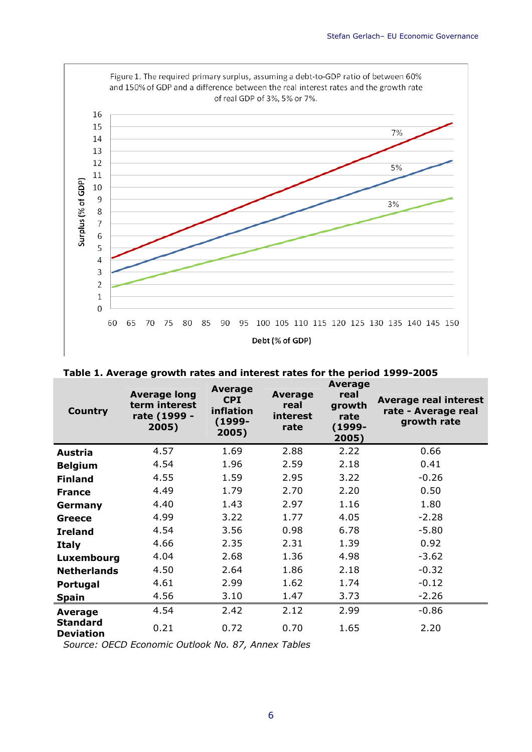

| <b>Country</b>                      | <b>Average long</b><br>term interest<br>rate (1999 -<br>2005) | Average<br><b>CPI</b><br>inflation<br>(1999-<br>2005) | <b>Average</b><br>real<br>interest<br>rate | <b>Average</b><br>real<br>growth<br>rate<br>(1999-<br>2005) | <b>Average real interest</b><br>rate - Average real<br>growth rate |
|-------------------------------------|---------------------------------------------------------------|-------------------------------------------------------|--------------------------------------------|-------------------------------------------------------------|--------------------------------------------------------------------|
| Austria                             | 4.57                                                          | 1.69                                                  | 2.88                                       | 2.22                                                        | 0.66                                                               |
| <b>Belgium</b>                      | 4.54                                                          | 1.96                                                  | 2.59                                       | 2.18                                                        | 0.41                                                               |
| <b>Finland</b>                      | 4.55                                                          | 1.59                                                  | 2.95                                       | 3.22                                                        | $-0.26$                                                            |
| <b>France</b>                       | 4.49                                                          | 1.79                                                  | 2.70                                       | 2.20                                                        | 0.50                                                               |
| Germany                             | 4.40                                                          | 1.43                                                  | 2.97                                       | 1.16                                                        | 1.80                                                               |
| <b>Greece</b>                       | 4.99                                                          | 3.22                                                  | 1.77                                       | 4.05                                                        | $-2.28$                                                            |
| <b>Ireland</b>                      | 4.54                                                          | 3.56                                                  | 0.98                                       | 6.78                                                        | $-5.80$                                                            |
| <b>Italy</b>                        | 4.66                                                          | 2.35                                                  | 2.31                                       | 1.39                                                        | 0.92                                                               |
| Luxembourg                          | 4.04                                                          | 2.68                                                  | 1.36                                       | 4.98                                                        | $-3.62$                                                            |
| <b>Netherlands</b>                  | 4.50                                                          | 2.64                                                  | 1.86                                       | 2.18                                                        | $-0.32$                                                            |
| Portugal                            | 4.61                                                          | 2.99                                                  | 1.62                                       | 1.74                                                        | $-0.12$                                                            |
| <b>Spain</b>                        | 4.56                                                          | 3.10                                                  | 1.47                                       | 3.73                                                        | $-2.26$                                                            |
| Average                             | 4.54                                                          | 2.42                                                  | 2.12                                       | 2.99                                                        | $-0.86$                                                            |
| <b>Standard</b><br><b>Deviation</b> | 0.21                                                          | 0.72                                                  | 0.70                                       | 1.65                                                        | 2.20                                                               |

| Table 1. Average growth rates and interest rates for the period 1999-2005 |  |  |
|---------------------------------------------------------------------------|--|--|
|---------------------------------------------------------------------------|--|--|

*Source: OECD Economic Outlook No. 87, Annex Tables*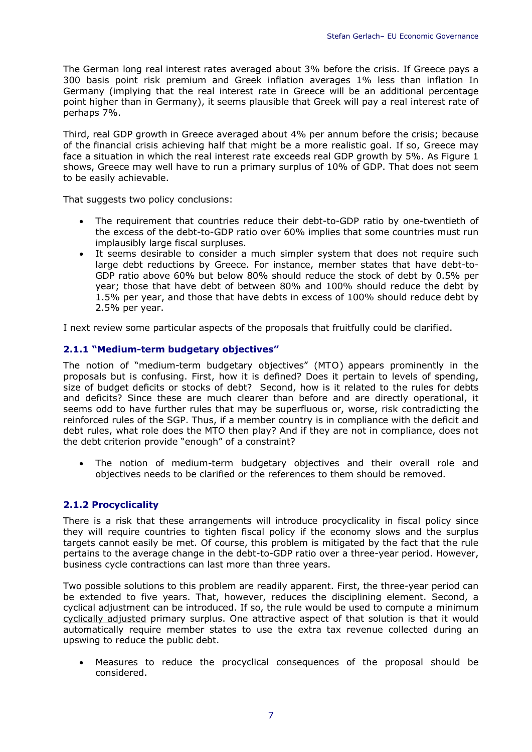The German long real interest rates averaged about 3% before the crisis. If Greece pays a 300 basis point risk premium and Greek inflation averages 1% less than inflation In Germany (implying that the real interest rate in Greece will be an additional percentage point higher than in Germany), it seems plausible that Greek will pay a real interest rate of perhaps 7%.

Third, real GDP growth in Greece averaged about 4% per annum before the crisis; because of the financial crisis achieving half that might be a more realistic goal. If so, Greece may face a situation in which the real interest rate exceeds real GDP growth by 5%. As Figure 1 shows, Greece may well have to run a primary surplus of 10% of GDP. That does not seem to be easily achievable.

That suggests two policy conclusions:

- The requirement that countries reduce their debt-to-GDP ratio by one-twentieth of the excess of the debt-to-GDP ratio over 60% implies that some countries must run implausibly large fiscal surpluses.
- It seems desirable to consider a much simpler system that does not require such large debt reductions by Greece. For instance, member states that have debt-to-GDP ratio above 60% but below 80% should reduce the stock of debt by 0.5% per year; those that have debt of between 80% and 100% should reduce the debt by 1.5% per year, and those that have debts in excess of 100% should reduce debt by 2.5% per year.

I next review some particular aspects of the proposals that fruitfully could be clarified.

# **2.1.1 "Medium-term budgetary objectives"**

The notion of "medium-term budgetary objectives" (MTO) appears prominently in the proposals but is confusing. First, how it is defined? Does it pertain to levels of spending, size of budget deficits or stocks of debt? Second, how is it related to the rules for debts and deficits? Since these are much clearer than before and are directly operational, it seems odd to have further rules that may be superfluous or, worse, risk contradicting the reinforced rules of the SGP. Thus, if a member country is in compliance with the deficit and debt rules, what role does the MTO then play? And if they are not in compliance, does not the debt criterion provide "enough" of a constraint?

 The notion of medium-term budgetary objectives and their overall role and objectives needs to be clarified or the references to them should be removed.

# **2.1.2 Procyclicality**

There is a risk that these arrangements will introduce procyclicality in fiscal policy since they will require countries to tighten fiscal policy if the economy slows and the surplus targets cannot easily be met. Of course, this problem is mitigated by the fact that the rule pertains to the average change in the debt-to-GDP ratio over a three-year period. However, business cycle contractions can last more than three years.

Two possible solutions to this problem are readily apparent. First, the three-year period can be extended to five years. That, however, reduces the disciplining element. Second, a cyclical adjustment can be introduced. If so, the rule would be used to compute a minimum cyclically adjusted primary surplus. One attractive aspect of that solution is that it would automatically require member states to use the extra tax revenue collected during an upswing to reduce the public debt.

 Measures to reduce the procyclical consequences of the proposal should be considered.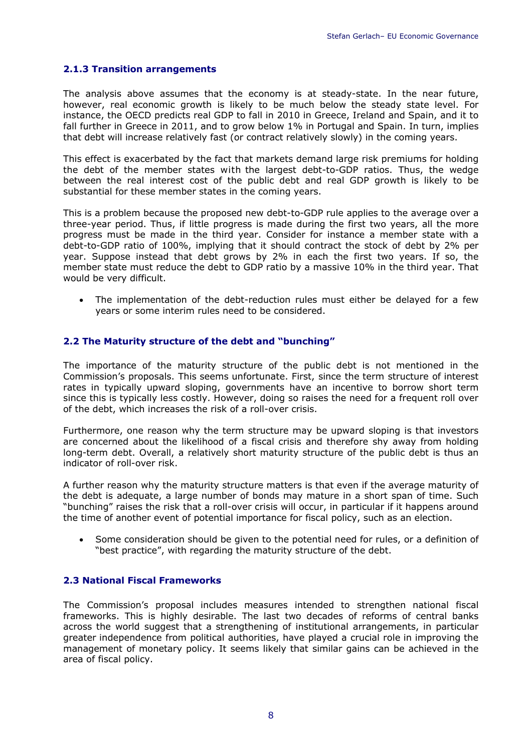# **2.1.3 Transition arrangements**

The analysis above assumes that the economy is at steady-state. In the near future, however, real economic growth is likely to be much below the steady state level. For instance, the OECD predicts real GDP to fall in 2010 in Greece, Ireland and Spain, and it to fall further in Greece in 2011, and to grow below 1% in Portugal and Spain. In turn, implies that debt will increase relatively fast (or contract relatively slowly) in the coming years.

This effect is exacerbated by the fact that markets demand large risk premiums for holding the debt of the member states with the largest debt-to-GDP ratios. Thus, the wedge between the real interest cost of the public debt and real GDP growth is likely to be substantial for these member states in the coming years.

This is a problem because the proposed new debt-to-GDP rule applies to the average over a three-year period. Thus, if little progress is made during the first two years, all the more progress must be made in the third year. Consider for instance a member state with a debt-to-GDP ratio of 100%, implying that it should contract the stock of debt by 2% per year. Suppose instead that debt grows by 2% in each the first two years. If so, the member state must reduce the debt to GDP ratio by a massive 10% in the third year. That would be very difficult.

 The implementation of the debt-reduction rules must either be delayed for a few years or some interim rules need to be considered.

# <span id="page-8-0"></span>**2.2 The Maturity structure of the debt and "bunching"**

The importance of the maturity structure of the public debt is not mentioned in the Commission's proposals. This seems unfortunate. First, since the term structure of interest rates in typically upward sloping, governments have an incentive to borrow short term since this is typically less costly. However, doing so raises the need for a frequent roll over of the debt, which increases the risk of a roll-over crisis.

Furthermore, one reason why the term structure may be upward sloping is that investors are concerned about the likelihood of a fiscal crisis and therefore shy away from holding long-term debt. Overall, a relatively short maturity structure of the public debt is thus an indicator of roll-over risk.

A further reason why the maturity structure matters is that even if the average maturity of the debt is adequate, a large number of bonds may mature in a short span of time. Such "bunching" raises the risk that a roll-over crisis will occur, in particular if it happens around the time of another event of potential importance for fiscal policy, such as an election.

 Some consideration should be given to the potential need for rules, or a definition of "best practice", with regarding the maturity structure of the debt.

# <span id="page-8-1"></span>**2.3 National Fiscal Frameworks**

The Commission's proposal includes measures intended to strengthen national fiscal frameworks. This is highly desirable. The last two decades of reforms of central banks across the world suggest that a strengthening of institutional arrangements, in particular greater independence from political authorities, have played a crucial role in improving the management of monetary policy. It seems likely that similar gains can be achieved in the area of fiscal policy.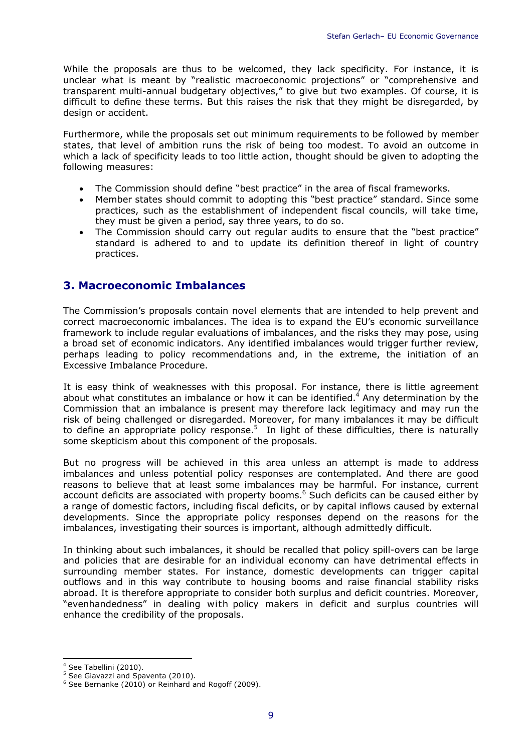While the proposals are thus to be welcomed, they lack specificity. For instance, it is unclear what is meant by "realistic macroeconomic projections" or "comprehensive and transparent multi-annual budgetary objectives," to give but two examples. Of course, it is difficult to define these terms. But this raises the risk that they might be disregarded, by design or accident.

Furthermore, while the proposals set out minimum requirements to be followed by member states, that level of ambition runs the risk of being too modest. To avoid an outcome in which a lack of specificity leads to too little action, thought should be given to adopting the following measures:

- The Commission should define "best practice" in the area of fiscal frameworks.
- Member states should commit to adopting this "best practice" standard. Since some practices, such as the establishment of independent fiscal councils, will take time, they must be given a period, say three years, to do so.
- The Commission should carry out regular audits to ensure that the "best practice" standard is adhered to and to update its definition thereof in light of country practices.

# <span id="page-9-0"></span>**3. Macroeconomic Imbalances**

The Commission's proposals contain novel elements that are intended to help prevent and correct macroeconomic imbalances. The idea is to expand the EU's economic surveillance framework to include regular evaluations of imbalances, and the risks they may pose, using a broad set of economic indicators. Any identified imbalances would trigger further review, perhaps leading to policy recommendations and, in the extreme, the initiation of an Excessive Imbalance Procedure.

It is easy think of weaknesses with this proposal. For instance, there is little agreement about what constitutes an imbalance or how it can be identified. $4$  Any determination by the Commission that an imbalance is present may therefore lack legitimacy and may run the risk of being challenged or disregarded. Moreover, for many imbalances it may be difficult to define an appropriate policy response.<sup>[5](#page-9-2)</sup> In light of these difficulties, there is naturally some skepticism about this component of the proposals.

But no progress will be achieved in this area unless an attempt is made to address imbalances and unless potential policy responses are contemplated. And there are good reasons to believe that at least some imbalances may be harmful. For instance, current account deficits are associated with property booms.<sup>[6](#page-9-3)</sup> Such deficits can be caused either by a range of domestic factors, including fiscal deficits, or by capital inflows caused by external developments. Since the appropriate policy responses depend on the reasons for the imbalances, investigating their sources is important, although admittedly difficult.

In thinking about such imbalances, it should be recalled that policy spill-overs can be large and policies that are desirable for an individual economy can have detrimental effects in surrounding member states. For instance, domestic developments can trigger capital outflows and in this way contribute to housing booms and raise financial stability risks abroad. It is therefore appropriate to consider both surplus and deficit countries. Moreover, "evenhandedness" in dealing with policy makers in deficit and surplus countries will enhance the credibility of the proposals.

<span id="page-9-1"></span><sup>-</sup>4 See Tabellini (2010).

<span id="page-9-2"></span><sup>&</sup>lt;sup>5</sup> See Giavazzi and Spaventa (2010).

<span id="page-9-3"></span><sup>&</sup>lt;sup>6</sup> See Bernanke (2010) or Reinhard and Rogoff (2009).